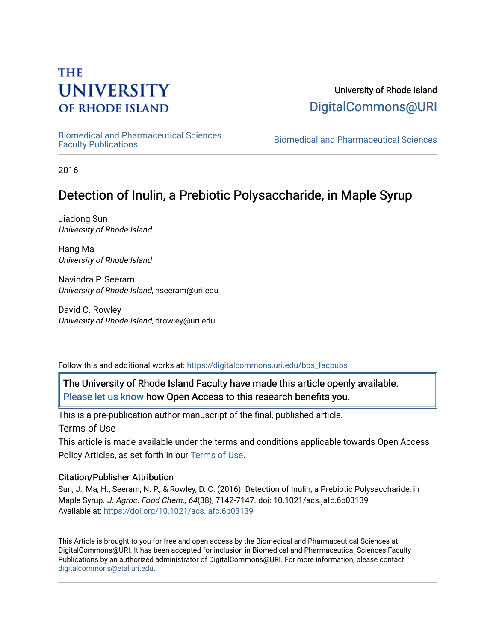# **THE UNIVERSITY OF RHODE ISLAND**

# University of Rhode Island [DigitalCommons@URI](https://digitalcommons.uri.edu/)

[Biomedical and Pharmaceutical Sciences](https://digitalcommons.uri.edu/bps_facpubs) 

Biomedical and Pharmaceutical Sciences

2016

# Detection of Inulin, a Prebiotic Polysaccharide, in Maple Syrup

Jiadong Sun University of Rhode Island

Hang Ma University of Rhode Island

Navindra P. Seeram University of Rhode Island, nseeram@uri.edu

David C. Rowley University of Rhode Island, drowley@uri.edu

Follow this and additional works at: [https://digitalcommons.uri.edu/bps\\_facpubs](https://digitalcommons.uri.edu/bps_facpubs?utm_source=digitalcommons.uri.edu%2Fbps_facpubs%2F111&utm_medium=PDF&utm_campaign=PDFCoverPages)

The University of Rhode Island Faculty have made this article openly available. [Please let us know](http://web.uri.edu/library-digital-initiatives/open-access-online-form/) how Open Access to this research benefits you.

This is a pre-publication author manuscript of the final, published article. Terms of Use

This article is made available under the terms and conditions applicable towards Open Access Policy Articles, as set forth in our [Terms of Use](https://digitalcommons.uri.edu/bps_facpubs/oa_policy_terms.html).

# Citation/Publisher Attribution

Sun, J., Ma, H., Seeram, N. P., & Rowley, D. C. (2016). Detection of Inulin, a Prebiotic Polysaccharide, in Maple Syrup. J. Agroc. Food Chem., 64(38), 7142-7147. doi: 10.1021/acs.jafc.6b03139 Available at:<https://doi.org/10.1021/acs.jafc.6b03139>

This Article is brought to you for free and open access by the Biomedical and Pharmaceutical Sciences at DigitalCommons@URI. It has been accepted for inclusion in Biomedical and Pharmaceutical Sciences Faculty Publications by an authorized administrator of DigitalCommons@URI. For more information, please contact [digitalcommons@etal.uri.edu](mailto:digitalcommons@etal.uri.edu).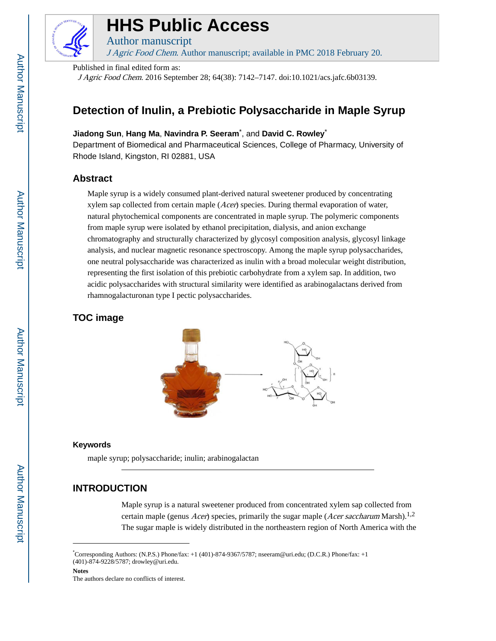

# **HHS Public Access**

Author manuscript J Agric Food Chem. Author manuscript; available in PMC 2018 February 20.

Published in final edited form as:

J Agric Food Chem. 2016 September 28; 64(38): 7142–7147. doi:10.1021/acs.jafc.6b03139.

# **Detection of Inulin, a Prebiotic Polysaccharide in Maple Syrup**

## **Jiadong Sun**, **Hang Ma**, **Navindra P. Seeram**\* , and **David C. Rowley**\*

Department of Biomedical and Pharmaceutical Sciences, College of Pharmacy, University of Rhode Island, Kingston, RI 02881, USA

# **Abstract**

Maple syrup is a widely consumed plant-derived natural sweetener produced by concentrating xylem sap collected from certain maple (Acer) species. During thermal evaporation of water, natural phytochemical components are concentrated in maple syrup. The polymeric components from maple syrup were isolated by ethanol precipitation, dialysis, and anion exchange chromatography and structurally characterized by glycosyl composition analysis, glycosyl linkage analysis, and nuclear magnetic resonance spectroscopy. Among the maple syrup polysaccharides, one neutral polysaccharide was characterized as inulin with a broad molecular weight distribution, representing the first isolation of this prebiotic carbohydrate from a xylem sap. In addition, two acidic polysaccharides with structural similarity were identified as arabinogalactans derived from rhamnogalacturonan type I pectic polysaccharides.

# **TOC image**



#### **Keywords**

maple syrup; polysaccharide; inulin; arabinogalactan

# **INTRODUCTION**

Maple syrup is a natural sweetener produced from concentrated xylem sap collected from certain maple (genus *Acer*) species, primarily the sugar maple (*Acer saccharum* Marsh).<sup>1,2</sup> The sugar maple is widely distributed in the northeastern region of North America with the

<sup>\*</sup>Corresponding Authors: (N.P.S.) Phone/fax: +1 (401)-874-9367/5787; nseeram@uri.edu; (D.C.R.) Phone/fax: +1 (401)-874-9228/5787; drowley@uri.edu.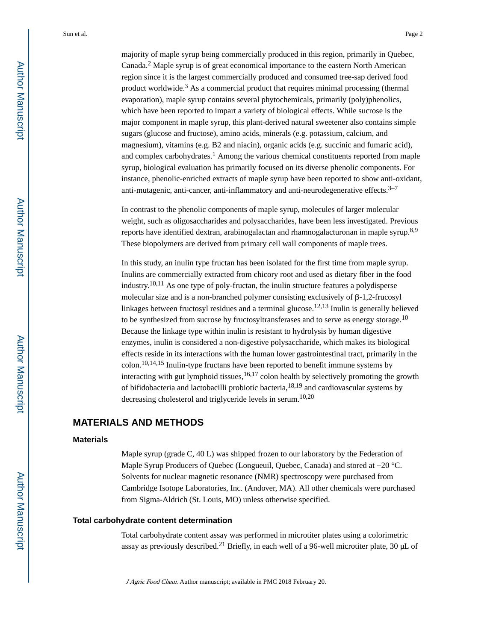majority of maple syrup being commercially produced in this region, primarily in Quebec, Canada.<sup>2</sup> Maple syrup is of great economical importance to the eastern North American region since it is the largest commercially produced and consumed tree-sap derived food product worldwide.<sup>3</sup> As a commercial product that requires minimal processing (thermal evaporation), maple syrup contains several phytochemicals, primarily (poly)phenolics, which have been reported to impart a variety of biological effects. While sucrose is the major component in maple syrup, this plant-derived natural sweetener also contains simple sugars (glucose and fructose), amino acids, minerals (e.g. potassium, calcium, and magnesium), vitamins (e.g. B2 and niacin), organic acids (e.g. succinic and fumaric acid), and complex carbohydrates.<sup>1</sup> Among the various chemical constituents reported from maple syrup, biological evaluation has primarily focused on its diverse phenolic components. For instance, phenolic-enriched extracts of maple syrup have been reported to show anti-oxidant, anti-mutagenic, anti-cancer, anti-inflammatory and anti-neurodegenerative effects.<sup>3-7</sup>

In contrast to the phenolic components of maple syrup, molecules of larger molecular weight, such as oligosaccharides and polysaccharides, have been less investigated. Previous reports have identified dextran, arabinogalactan and rhamnogalacturonan in maple syrup.8,9 These biopolymers are derived from primary cell wall components of maple trees.

In this study, an inulin type fructan has been isolated for the first time from maple syrup. Inulins are commercially extracted from chicory root and used as dietary fiber in the food industry.10,11 As one type of poly-fructan, the inulin structure features a polydisperse molecular size and is a non-branched polymer consisting exclusively of β-1,2-frucosyl linkages between fructosyl residues and a terminal glucose.<sup>12,13</sup> Inulin is generally believed to be synthesized from sucrose by fructosyltransferases and to serve as energy storage.<sup>10</sup> Because the linkage type within inulin is resistant to hydrolysis by human digestive enzymes, inulin is considered a non-digestive polysaccharide, which makes its biological effects reside in its interactions with the human lower gastrointestinal tract, primarily in the  $\text{colon}^{10,14,15}$  Inulin-type fructans have been reported to benefit immune systems by interacting with gut lymphoid tissues, $16,17$  colon health by selectively promoting the growth of bifidobacteria and lactobacilli probiotic bacteria,18,19 and cardiovascular systems by decreasing cholesterol and triglyceride levels in serum.10,20

## **MATERIALS AND METHODS**

#### **Materials**

Maple syrup (grade C, 40 L) was shipped frozen to our laboratory by the Federation of Maple Syrup Producers of Quebec (Longueuil, Quebec, Canada) and stored at −20 °C. Solvents for nuclear magnetic resonance (NMR) spectroscopy were purchased from Cambridge Isotope Laboratories, Inc. (Andover, MA). All other chemicals were purchased from Sigma-Aldrich (St. Louis, MO) unless otherwise specified.

#### **Total carbohydrate content determination**

Total carbohydrate content assay was performed in microtiter plates using a colorimetric assay as previously described.<sup>21</sup> Briefly, in each well of a 96-well microtiter plate, 30  $\mu$ L of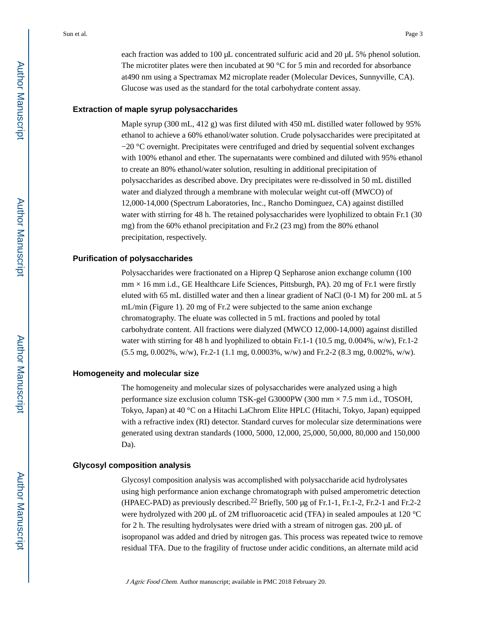each fraction was added to 100 μL concentrated sulfuric acid and 20 μL 5% phenol solution. The microtiter plates were then incubated at 90 °C for 5 min and recorded for absorbance at490 nm using a Spectramax M2 microplate reader (Molecular Devices, Sunnyville, CA). Glucose was used as the standard for the total carbohydrate content assay.

#### **Extraction of maple syrup polysaccharides**

Maple syrup (300 mL, 412 g) was first diluted with 450 mL distilled water followed by 95% ethanol to achieve a 60% ethanol/water solution. Crude polysaccharides were precipitated at −20 °C overnight. Precipitates were centrifuged and dried by sequential solvent exchanges with 100% ethanol and ether. The supernatants were combined and diluted with 95% ethanol to create an 80% ethanol/water solution, resulting in additional precipitation of polysaccharides as described above. Dry precipitates were re-dissolved in 50 mL distilled water and dialyzed through a membrane with molecular weight cut-off (MWCO) of 12,000-14,000 (Spectrum Laboratories, Inc., Rancho Dominguez, CA) against distilled water with stirring for 48 h. The retained polysaccharides were lyophilized to obtain Fr.1 (30) mg) from the 60% ethanol precipitation and Fr.2 (23 mg) from the 80% ethanol precipitation, respectively.

#### **Purification of polysaccharides**

Polysaccharides were fractionated on a Hiprep Q Sepharose anion exchange column (100  $mm \times 16 mm$  i.d., GE Healthcare Life Sciences, Pittsburgh, PA). 20 mg of Fr.1 were firstly eluted with 65 mL distilled water and then a linear gradient of NaCl (0-1 M) for 200 mL at 5 mL/min (Figure 1). 20 mg of Fr.2 were subjected to the same anion exchange chromatography. The eluate was collected in 5 mL fractions and pooled by total carbohydrate content. All fractions were dialyzed (MWCO 12,000-14,000) against distilled water with stirring for 48 h and lyophilized to obtain Fr.1-1 (10.5 mg, 0.004%, w/w), Fr.1-2 (5.5 mg, 0.002%, w/w), Fr.2-1 (1.1 mg, 0.0003%, w/w) and Fr.2-2 (8.3 mg, 0.002%, w/w).

#### **Homogeneity and molecular size**

The homogeneity and molecular sizes of polysaccharides were analyzed using a high performance size exclusion column TSK-gel G3000PW (300 mm × 7.5 mm i.d., TOSOH, Tokyo, Japan) at 40 °C on a Hitachi LaChrom Elite HPLC (Hitachi, Tokyo, Japan) equipped with a refractive index (RI) detector. Standard curves for molecular size determinations were generated using dextran standards (1000, 5000, 12,000, 25,000, 50,000, 80,000 and 150,000 Da).

#### **Glycosyl composition analysis**

Glycosyl composition analysis was accomplished with polysaccharide acid hydrolysates using high performance anion exchange chromatograph with pulsed amperometric detection (HPAEC-PAD) as previously described.22 Briefly, 500 μg of Fr.1-1, Fr.1-2, Fr.2-1 and Fr.2-2 were hydrolyzed with 200 μL of 2M trifluoroacetic acid (TFA) in sealed ampoules at 120 °C for 2 h. The resulting hydrolysates were dried with a stream of nitrogen gas. 200 μL of isopropanol was added and dried by nitrogen gas. This process was repeated twice to remove residual TFA. Due to the fragility of fructose under acidic conditions, an alternate mild acid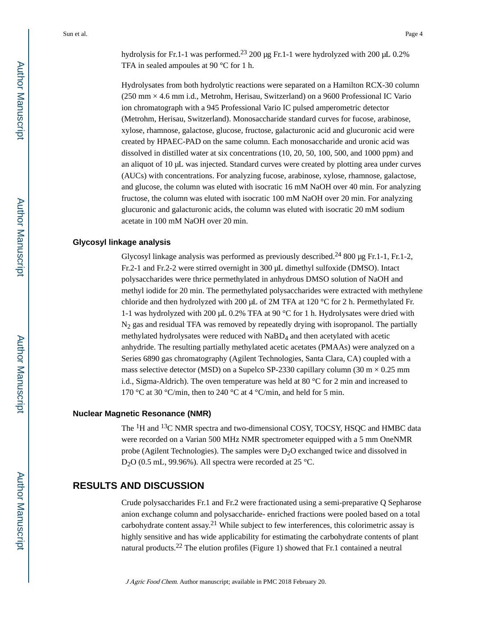hydrolysis for Fr.1-1 was performed.23 200 μg Fr.1-1 were hydrolyzed with 200 μL 0.2% TFA in sealed ampoules at 90 °C for 1 h.

Hydrolysates from both hydrolytic reactions were separated on a Hamilton RCX-30 column (250 mm × 4.6 mm i.d., Metrohm, Herisau, Switzerland) on a 9600 Professional IC Vario ion chromatograph with a 945 Professional Vario IC pulsed amperometric detector (Metrohm, Herisau, Switzerland). Monosaccharide standard curves for fucose, arabinose, xylose, rhamnose, galactose, glucose, fructose, galacturonic acid and glucuronic acid were created by HPAEC-PAD on the same column. Each monosaccharide and uronic acid was dissolved in distilled water at six concentrations (10, 20, 50, 100, 500, and 1000 ppm) and an aliquot of 10 μL was injected. Standard curves were created by plotting area under curves (AUCs) with concentrations. For analyzing fucose, arabinose, xylose, rhamnose, galactose, and glucose, the column was eluted with isocratic 16 mM NaOH over 40 min. For analyzing fructose, the column was eluted with isocratic 100 mM NaOH over 20 min. For analyzing glucuronic and galacturonic acids, the column was eluted with isocratic 20 mM sodium acetate in 100 mM NaOH over 20 min.

#### **Glycosyl linkage analysis**

Glycosyl linkage analysis was performed as previously described.<sup>24</sup> 800 μg Fr.1-1, Fr.1-2, Fr.2-1 and Fr.2-2 were stirred overnight in 300 μL dimethyl sulfoxide (DMSO). Intact polysaccharides were thrice permethylated in anhydrous DMSO solution of NaOH and methyl iodide for 20 min. The permethylated polysaccharides were extracted with methylene chloride and then hydrolyzed with 200 μL of 2M TFA at 120 °C for 2 h. Permethylated Fr. 1-1 was hydrolyzed with 200  $\mu$ L 0.2% TFA at 90 °C for 1 h. Hydrolysates were dried with N2 gas and residual TFA was removed by repeatedly drying with isopropanol. The partially methylated hydrolysates were reduced with NaBD4 and then acetylated with acetic anhydride. The resulting partially methylated acetic acetates (PMAAs) were analyzed on a Series 6890 gas chromatography (Agilent Technologies, Santa Clara, CA) coupled with a mass selective detector (MSD) on a Supelco SP-2330 capillary column (30 m  $\times$  0.25 mm i.d., Sigma-Aldrich). The oven temperature was held at 80  $\degree$ C for 2 min and increased to 170 °C at 30 °C/min, then to 240 °C at 4 °C/min, and held for 5 min.

#### **Nuclear Magnetic Resonance (NMR)**

The <sup>1</sup>H and <sup>13</sup>C NMR spectra and two-dimensional COSY, TOCSY, HSQC and HMBC data were recorded on a Varian 500 MHz NMR spectrometer equipped with a 5 mm OneNMR probe (Agilent Technologies). The samples were  $D<sub>2</sub>O$  exchanged twice and dissolved in D2O (0.5 mL, 99.96%). All spectra were recorded at 25 °C.

# **RESULTS AND DISCUSSION**

Crude polysaccharides Fr.1 and Fr.2 were fractionated using a semi-preparative Q Sepharose anion exchange column and polysaccharide- enriched fractions were pooled based on a total carbohydrate content assay.<sup>21</sup> While subject to few interferences, this colorimetric assay is highly sensitive and has wide applicability for estimating the carbohydrate contents of plant natural products.22 The elution profiles (Figure 1) showed that Fr.1 contained a neutral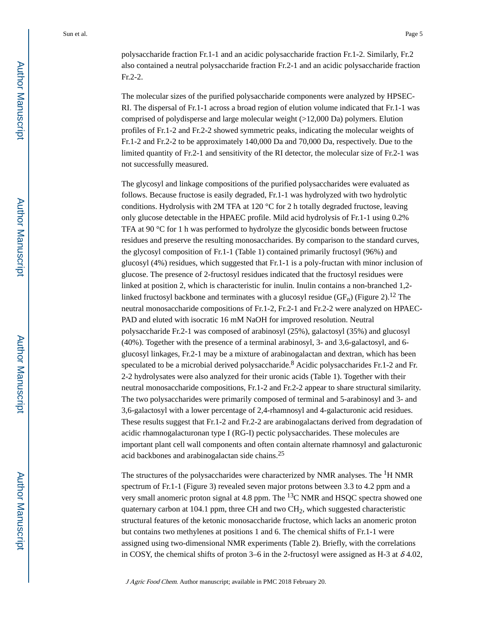polysaccharide fraction Fr.1-1 and an acidic polysaccharide fraction Fr.1-2. Similarly, Fr.2 also contained a neutral polysaccharide fraction Fr.2-1 and an acidic polysaccharide fraction Fr.2-2.

The molecular sizes of the purified polysaccharide components were analyzed by HPSEC-RI. The dispersal of Fr.1-1 across a broad region of elution volume indicated that Fr.1-1 was comprised of polydisperse and large molecular weight (>12,000 Da) polymers. Elution profiles of Fr.1-2 and Fr.2-2 showed symmetric peaks, indicating the molecular weights of Fr.1-2 and Fr.2-2 to be approximately 140,000 Da and 70,000 Da, respectively. Due to the limited quantity of Fr.2-1 and sensitivity of the RI detector, the molecular size of Fr.2-1 was not successfully measured.

The glycosyl and linkage compositions of the purified polysaccharides were evaluated as follows. Because fructose is easily degraded, Fr.1-1 was hydrolyzed with two hydrolytic conditions. Hydrolysis with 2M TFA at 120  $^{\circ}$ C for 2 h totally degraded fructose, leaving only glucose detectable in the HPAEC profile. Mild acid hydrolysis of Fr.1-1 using 0.2% TFA at 90 °C for 1 h was performed to hydrolyze the glycosidic bonds between fructose residues and preserve the resulting monosaccharides. By comparison to the standard curves, the glycosyl composition of Fr.1-1 (Table 1) contained primarily fructosyl (96%) and glucosyl (4%) residues, which suggested that Fr.1-1 is a poly-fructan with minor inclusion of glucose. The presence of 2-fructosyl residues indicated that the fructosyl residues were linked at position 2, which is characteristic for inulin. Inulin contains a non-branched 1,2 linked fructosyl backbone and terminates with a glucosyl residue  $(GF_n)$  (Figure 2).<sup>12</sup> The neutral monosaccharide compositions of Fr.1-2, Fr.2-1 and Fr.2-2 were analyzed on HPAEC-PAD and eluted with isocratic 16 mM NaOH for improved resolution. Neutral polysaccharide Fr.2-1 was composed of arabinosyl (25%), galactosyl (35%) and glucosyl (40%). Together with the presence of a terminal arabinosyl, 3- and 3,6-galactosyl, and 6 glucosyl linkages, Fr.2-1 may be a mixture of arabinogalactan and dextran, which has been speculated to be a microbial derived polysaccharide.<sup>8</sup> Acidic polysaccharides Fr.1-2 and Fr. 2-2 hydrolysates were also analyzed for their uronic acids (Table 1). Together with their neutral monosaccharide compositions, Fr.1-2 and Fr.2-2 appear to share structural similarity. The two polysaccharides were primarily composed of terminal and 5-arabinosyl and 3- and 3,6-galactosyl with a lower percentage of 2,4-rhamnosyl and 4-galacturonic acid residues. These results suggest that Fr.1-2 and Fr.2-2 are arabinogalactans derived from degradation of acidic rhamnogalacturonan type I (RG-I) pectic polysaccharides. These molecules are important plant cell wall components and often contain alternate rhamnosyl and galacturonic acid backbones and arabinogalactan side chains.<sup>25</sup>

The structures of the polysaccharides were characterized by NMR analyses. The  ${}^{1}H$  NMR spectrum of Fr.1-1 (Figure 3) revealed seven major protons between 3.3 to 4.2 ppm and a very small anomeric proton signal at 4.8 ppm. The  ${}^{13}$ C NMR and HSQC spectra showed one quaternary carbon at 104.1 ppm, three CH and two  $CH<sub>2</sub>$ , which suggested characteristic structural features of the ketonic monosaccharide fructose, which lacks an anomeric proton but contains two methylenes at positions 1 and 6. The chemical shifts of Fr.1-1 were assigned using two-dimensional NMR experiments (Table 2). Briefly, with the correlations in COSY, the chemical shifts of proton 3–6 in the 2-fructosyl were assigned as H-3 at  $\delta$ 4.02,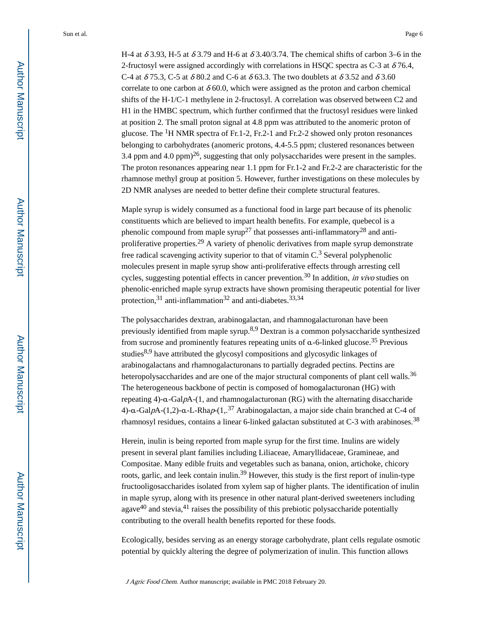H-4 at  $\delta$  3.93, H-5 at  $\delta$  3.79 and H-6 at  $\delta$  3.40/3.74. The chemical shifts of carbon 3–6 in the 2-fructosyl were assigned accordingly with correlations in HSQC spectra as C-3 at  $\delta$ 76.4, C-4 at  $\delta$  75.3, C-5 at  $\delta$  80.2 and C-6 at  $\delta$  63.3. The two doublets at  $\delta$  3.52 and  $\delta$  3.60 correlate to one carbon at  $\delta$  60.0, which were assigned as the proton and carbon chemical shifts of the H-1/C-1 methylene in 2-fructosyl. A correlation was observed between C2 and H1 in the HMBC spectrum, which further confirmed that the fructosyl residues were linked at position 2. The small proton signal at 4.8 ppm was attributed to the anomeric proton of glucose. The  ${}^{1}$ H NMR spectra of Fr.1-2, Fr.2-1 and Fr.2-2 showed only proton resonances belonging to carbohydrates (anomeric protons, 4.4-5.5 ppm; clustered resonances between 3.4 ppm and 4.0 ppm $)^{26}$ , suggesting that only polysaccharides were present in the samples. The proton resonances appearing near 1.1 ppm for Fr.1-2 and Fr.2-2 are characteristic for the rhamnose methyl group at position 5. However, further investigations on these molecules by 2D NMR analyses are needed to better define their complete structural features.

Maple syrup is widely consumed as a functional food in large part because of its phenolic constituents which are believed to impart health benefits. For example, quebecol is a phenolic compound from maple syrup<sup>27</sup> that possesses anti-inflammatory<sup>28</sup> and antiproliferative properties.<sup>29</sup> A variety of phenolic derivatives from maple syrup demonstrate free radical scavenging activity superior to that of vitamin  $C<sup>3</sup>$  Several polyphenolic molecules present in maple syrup show anti-proliferative effects through arresting cell cycles, suggesting potential effects in cancer prevention.<sup>30</sup> In addition, *in vivo* studies on phenolic-enriched maple syrup extracts have shown promising therapeutic potential for liver protection,  $31$  anti-inflammation  $32$  and anti-diabetes.  $33,34$ 

The polysaccharides dextran, arabinogalactan, and rhamnogalacturonan have been previously identified from maple syrup.<sup>8,9</sup> Dextran is a common polysaccharide synthesized from sucrose and prominently features repeating units of  $\alpha$ -6-linked glucose.<sup>35</sup> Previous studies<sup>8,9</sup> have attributed the glycosyl compositions and glycosydic linkages of arabinogalactans and rhamnogalacturonans to partially degraded pectins. Pectins are heteropolysaccharides and are one of the major structural components of plant cell walls.<sup>36</sup> The heterogeneous backbone of pectin is composed of homogalacturonan (HG) with repeating 4)-α-GalpA-(1, and rhamnogalacturonan (RG) with the alternating disaccharide 4)-α-GalpA-(1,2)-α-L-Rhap-(1,.<sup>37</sup> Arabinogalactan, a major side chain branched at C-4 of rhamnosyl residues, contains a linear 6-linked galactan substituted at C-3 with arabinoses.<sup>38</sup>

Herein, inulin is being reported from maple syrup for the first time. Inulins are widely present in several plant families including Liliaceae, Amaryllidaceae, Gramineae, and Compositae. Many edible fruits and vegetables such as banana, onion, artichoke, chicory roots, garlic, and leek contain inulin.<sup>39</sup> However, this study is the first report of inulin-type fructooligosaccharides isolated from xylem sap of higher plants. The identification of inulin in maple syrup, along with its presence in other natural plant-derived sweeteners including agave $40$  and stevia, $41$  raises the possibility of this prebiotic polysaccharide potentially contributing to the overall health benefits reported for these foods.

Ecologically, besides serving as an energy storage carbohydrate, plant cells regulate osmotic potential by quickly altering the degree of polymerization of inulin. This function allows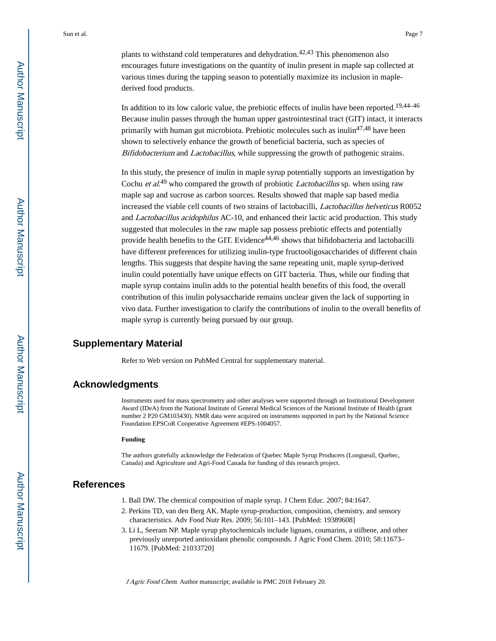plants to withstand cold temperatures and dehydration.<sup>42,43</sup> This phenomenon also encourages future investigations on the quantity of inulin present in maple sap collected at various times during the tapping season to potentially maximize its inclusion in maplederived food products.

In addition to its low caloric value, the prebiotic effects of inulin have been reported.<sup>19,44-46</sup> Because inulin passes through the human upper gastrointestinal tract (GIT) intact, it interacts primarily with human gut microbiota. Prebiotic molecules such as inulin<sup>47,48</sup> have been shown to selectively enhance the growth of beneficial bacteria, such as species of Bifidobacterium and Lactobacillus, while suppressing the growth of pathogenic strains.

In this study, the presence of inulin in maple syrup potentially supports an investigation by Cochu *et al.*<sup>49</sup> who compared the growth of probiotic *Lactobacillus* sp. when using raw maple sap and sucrose as carbon sources. Results showed that maple sap based media increased the viable cell counts of two strains of lactobacilli, Lactobacillus helveticus R0052 and Lactobacillus acidophilus AC-10, and enhanced their lactic acid production. This study suggested that molecules in the raw maple sap possess prebiotic effects and potentially provide health benefits to the GIT. Evidence<sup>44,46</sup> shows that bifidobacteria and lactobacilli have different preferences for utilizing inulin-type fructooligosaccharides of different chain lengths. This suggests that despite having the same repeating unit, maple syrup-derived inulin could potentially have unique effects on GIT bacteria. Thus, while our finding that maple syrup contains inulin adds to the potential health benefits of this food, the overall contribution of this inulin polysaccharide remains unclear given the lack of supporting in vivo data. Further investigation to clarify the contributions of inulin to the overall benefits of maple syrup is currently being pursued by our group.

## **Supplementary Material**

Refer to Web version on PubMed Central for supplementary material.

#### **Acknowledgments**

Instruments used for mass spectrometry and other analyses were supported through an Institutional Development Award (IDeA) from the National Institute of General Medical Sciences of the National Institute of Health (grant number 2 P20 GM103430). NMR data were acquired on instruments supported in part by the National Science Foundation EPSCoR Cooperative Agreement #EPS-1004057.

#### **Funding**

The authors gratefully acknowledge the Federation of Quebec Maple Syrup Producers (Longueuil, Quebec, Canada) and Agriculture and Agri-Food Canada for funding of this research project.

#### **References**

- 1. Ball DW. The chemical composition of maple syrup. J Chem Educ. 2007; 84:1647.
- 2. Perkins TD, van den Berg AK. Maple syrup-production, composition, chemistry, and sensory characteristics. Adv Food Nutr Res. 2009; 56:101–143. [PubMed: 19389608]
- 3. Li L, Seeram NP. Maple syrup phytochemicals include lignans, coumarins, a stilbene, and other previously unreported antioxidant phenolic compounds. J Agric Food Chem. 2010; 58:11673– 11679. [PubMed: 21033720]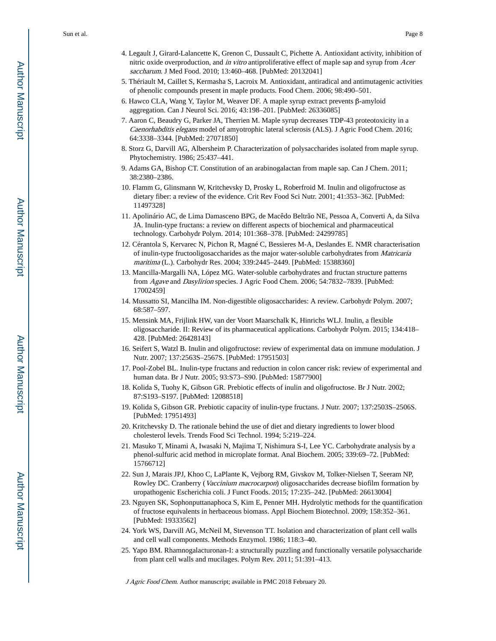- 4. Legault J, Girard-Lalancette K, Grenon C, Dussault C, Pichette A. Antioxidant activity, inhibition of nitric oxide overproduction, and in vitro antiproliferative effect of maple sap and syrup from Acer saccharum. J Med Food. 2010; 13:460–468. [PubMed: 20132041]
- 5. Thériault M, Caillet S, Kermasha S, Lacroix M. Antioxidant, antiradical and antimutagenic activities of phenolic compounds present in maple products. Food Chem. 2006; 98:490–501.
- 6. Hawco CLA, Wang Y, Taylor M, Weaver DF. A maple syrup extract prevents β-amyloid aggregation. Can J Neurol Sci. 2016; 43:198–201. [PubMed: 26336085]
- 7. Aaron C, Beaudry G, Parker JA, Therrien M. Maple syrup decreases TDP-43 proteotoxicity in a Caenorhabditis elegans model of amyotrophic lateral sclerosis (ALS). J Agric Food Chem. 2016; 64:3338–3344. [PubMed: 27071850]
- 8. Storz G, Darvill AG, Albersheim P. Characterization of polysaccharides isolated from maple syrup. Phytochemistry. 1986; 25:437–441.
- 9. Adams GA, Bishop CT. Constitution of an arabinogalactan from maple sap. Can J Chem. 2011; 38:2380–2386.
- 10. Flamm G, Glinsmann W, Kritchevsky D, Prosky L, Roberfroid M. Inulin and oligofructose as dietary fiber: a review of the evidence. Crit Rev Food Sci Nutr. 2001; 41:353–362. [PubMed: 11497328]
- 11. Apolinário AC, de Lima Damasceno BPG, de Macêdo Beltrão NE, Pessoa A, Converti A, da Silva JA. Inulin-type fructans: a review on different aspects of biochemical and pharmaceutical technology. Carbohydr Polym. 2014; 101:368–378. [PubMed: 24299785]
- 12. Cérantola S, Kervarec N, Pichon R, Magné C, Bessieres M-A, Deslandes E. NMR characterisation of inulin-type fructooligosaccharides as the major water-soluble carbohydrates from *Matricaria* maritima (L.). Carbohydr Res. 2004; 339:2445–2449. [PubMed: 15388360]
- 13. Mancilla-Margalli NA, López MG. Water-soluble carbohydrates and fructan structure patterns from Agave and Dasylirion species. J Agric Food Chem. 2006; 54:7832–7839. [PubMed: 17002459]
- 14. Mussatto SI, Mancilha IM. Non-digestible oligosaccharides: A review. Carbohydr Polym. 2007; 68:587–597.
- 15. Mensink MA, Frijlink HW, van der Voort Maarschalk K, Hinrichs WLJ. Inulin, a flexible oligosaccharide. II: Review of its pharmaceutical applications. Carbohydr Polym. 2015; 134:418– 428. [PubMed: 26428143]
- 16. Seifert S, Watzl B. Inulin and oligofructose: review of experimental data on immune modulation. J Nutr. 2007; 137:2563S–2567S. [PubMed: 17951503]
- 17. Pool-Zobel BL. Inulin-type fructans and reduction in colon cancer risk: review of experimental and human data. Br J Nutr. 2005; 93:S73–S90. [PubMed: 15877900]
- 18. Kolida S, Tuohy K, Gibson GR. Prebiotic effects of inulin and oligofructose. Br J Nutr. 2002; 87:S193–S197. [PubMed: 12088518]
- 19. Kolida S, Gibson GR. Prebiotic capacity of inulin-type fructans. J Nutr. 2007; 137:2503S–2506S. [PubMed: 17951493]
- 20. Kritchevsky D. The rationale behind the use of diet and dietary ingredients to lower blood cholesterol levels. Trends Food Sci Technol. 1994; 5:219–224.
- 21. Masuko T, Minami A, Iwasaki N, Majima T, Nishimura S-I, Lee YC. Carbohydrate analysis by a phenol-sulfuric acid method in microplate format. Anal Biochem. 2005; 339:69–72. [PubMed: 15766712]
- 22. Sun J, Marais JPJ, Khoo C, LaPlante K, Vejborg RM, Givskov M, Tolker-Nielsen T, Seeram NP, Rowley DC. Cranberry (Vaccinium macrocarpon) oligosaccharides decrease biofilm formation by uropathogenic Escherichia coli. J Funct Foods. 2015; 17:235–242. [PubMed: 26613004]
- 23. Nguyen SK, Sophonputtanaphoca S, Kim E, Penner MH. Hydrolytic methods for the quantification of fructose equivalents in herbaceous biomass. Appl Biochem Biotechnol. 2009; 158:352–361. [PubMed: 19333562]
- 24. York WS, Darvill AG, McNeil M, Stevenson TT. Isolation and characterization of plant cell walls and cell wall components. Methods Enzymol. 1986; 118:3–40.
- 25. Yapo BM. Rhamnogalacturonan-I: a structurally puzzling and functionally versatile polysaccharide from plant cell walls and mucilages. Polym Rev. 2011; 51:391–413.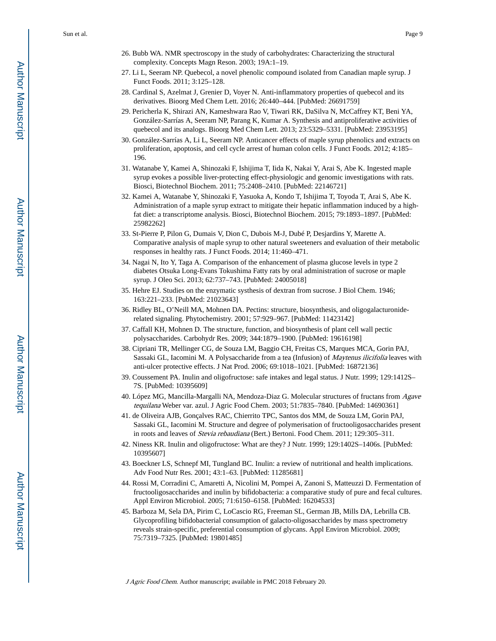- 26. Bubb WA. NMR spectroscopy in the study of carbohydrates: Characterizing the structural complexity. Concepts Magn Reson. 2003; 19A:1–19.
- 27. Li L, Seeram NP. Quebecol, a novel phenolic compound isolated from Canadian maple syrup. J Funct Foods. 2011; 3:125–128.
- 28. Cardinal S, Azelmat J, Grenier D, Voyer N. Anti-inflammatory properties of quebecol and its derivatives. Bioorg Med Chem Lett. 2016; 26:440–444. [PubMed: 26691759]
- 29. Pericherla K, Shirazi AN, Kameshwara Rao V, Tiwari RK, DaSilva N, McCaffrey KT, Beni YA, González-Sarrías A, Seeram NP, Parang K, Kumar A. Synthesis and antiproliferative activities of quebecol and its analogs. Bioorg Med Chem Lett. 2013; 23:5329–5331. [PubMed: 23953195]
- 30. González-Sarrías A, Li L, Seeram NP. Anticancer effects of maple syrup phenolics and extracts on proliferation, apoptosis, and cell cycle arrest of human colon cells. J Funct Foods. 2012; 4:185– 196.
- 31. Watanabe Y, Kamei A, Shinozaki F, Ishijima T, Iida K, Nakai Y, Arai S, Abe K. Ingested maple syrup evokes a possible liver-protecting effect-physiologic and genomic investigations with rats. Biosci, Biotechnol Biochem. 2011; 75:2408–2410. [PubMed: 22146721]
- 32. Kamei A, Watanabe Y, Shinozaki F, Yasuoka A, Kondo T, Ishijima T, Toyoda T, Arai S, Abe K. Administration of a maple syrup extract to mitigate their hepatic inflammation induced by a highfat diet: a transcriptome analysis. Biosci, Biotechnol Biochem. 2015; 79:1893–1897. [PubMed: 25982262]
- 33. St-Pierre P, Pilon G, Dumais V, Dion C, Dubois M-J, Dubé P, Desjardins Y, Marette A. Comparative analysis of maple syrup to other natural sweeteners and evaluation of their metabolic responses in healthy rats. J Funct Foods. 2014; 11:460–471.
- 34. Nagai N, Ito Y, Taga A. Comparison of the enhancement of plasma glucose levels in type 2 diabetes Otsuka Long-Evans Tokushima Fatty rats by oral administration of sucrose or maple syrup. J Oleo Sci. 2013; 62:737–743. [PubMed: 24005018]
- 35. Hehre EJ. Studies on the enzymatic systhesis of dextran from sucrose. J Biol Chem. 1946; 163:221–233. [PubMed: 21023643]
- 36. Ridley BL, O'Neill MA, Mohnen DA. Pectins: structure, biosynthesis, and oligogalacturoniderelated signaling. Phytochemistry. 2001; 57:929–967. [PubMed: 11423142]
- 37. Caffall KH, Mohnen D. The structure, function, and biosynthesis of plant cell wall pectic polysaccharides. Carbohydr Res. 2009; 344:1879–1900. [PubMed: 19616198]
- 38. Cipriani TR, Mellinger CG, de Souza LM, Baggio CH, Freitas CS, Marques MCA, Gorin PAJ, Sassaki GL, Iacomini M. A Polysaccharide from a tea (Infusion) of Maytenus ilicifolia leaves with anti-ulcer protective effects. J Nat Prod. 2006; 69:1018–1021. [PubMed: 16872136]
- 39. Coussement PA. Inulin and oligofructose: safe intakes and legal status. J Nutr. 1999; 129:1412S– 7S. [PubMed: 10395609]
- 40. López MG, Mancilla-Margalli NA, Mendoza-Diaz G. Molecular structures of fructans from Agave tequilana Weber var. azul. J Agric Food Chem. 2003; 51:7835–7840. [PubMed: 14690361]
- 41. de Oliveira AJB, Gonçalves RAC, Chierrito TPC, Santos dos MM, de Souza LM, Gorin PAJ, Sassaki GL, Iacomini M. Structure and degree of polymerisation of fructooligosaccharides present in roots and leaves of Stevia rebaudiana (Bert.) Bertoni. Food Chem. 2011; 129:305–311.
- 42. Niness KR. Inulin and oligofructose: What are they? J Nutr. 1999; 129:1402S–1406s. [PubMed: 10395607]
- 43. Boeckner LS, Schnepf MI, Tungland BC. Inulin: a review of nutritional and health implications. Adv Food Nutr Res. 2001; 43:1–63. [PubMed: 11285681]
- 44. Rossi M, Corradini C, Amaretti A, Nicolini M, Pompei A, Zanoni S, Matteuzzi D. Fermentation of fructooligosaccharides and inulin by bifidobacteria: a comparative study of pure and fecal cultures. Appl Environ Microbiol. 2005; 71:6150–6158. [PubMed: 16204533]
- 45. Barboza M, Sela DA, Pirim C, LoCascio RG, Freeman SL, German JB, Mills DA, Lebrilla CB. Glycoprofiling bifidobacterial consumption of galacto-oligosaccharides by mass spectrometry reveals strain-specific, preferential consumption of glycans. Appl Environ Microbiol. 2009; 75:7319–7325. [PubMed: 19801485]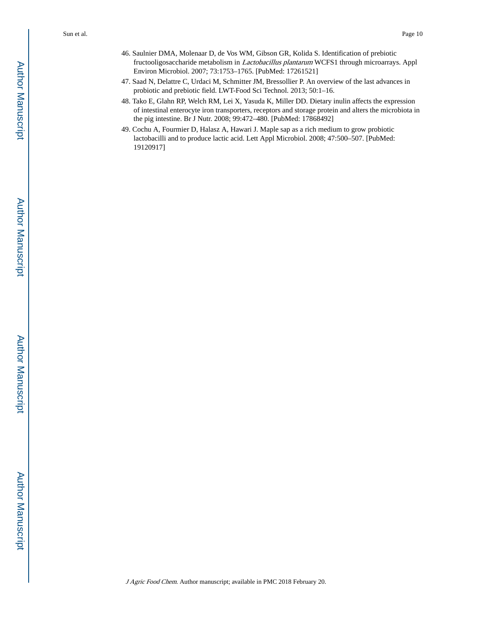- 46. Saulnier DMA, Molenaar D, de Vos WM, Gibson GR, Kolida S. Identification of prebiotic fructooligosaccharide metabolism in Lactobacillus plantarum WCFS1 through microarrays. Appl Environ Microbiol. 2007; 73:1753–1765. [PubMed: 17261521]
- 47. Saad N, Delattre C, Urdaci M, Schmitter JM, Bressollier P. An overview of the last advances in probiotic and prebiotic field. LWT-Food Sci Technol. 2013; 50:1–16.
- 48. Tako E, Glahn RP, Welch RM, Lei X, Yasuda K, Miller DD. Dietary inulin affects the expression of intestinal enterocyte iron transporters, receptors and storage protein and alters the microbiota in the pig intestine. Br J Nutr. 2008; 99:472–480. [PubMed: 17868492]
- 49. Cochu A, Fourmier D, Halasz A, Hawari J. Maple sap as a rich medium to grow probiotic lactobacilli and to produce lactic acid. Lett Appl Microbiol. 2008; 47:500–507. [PubMed: 19120917]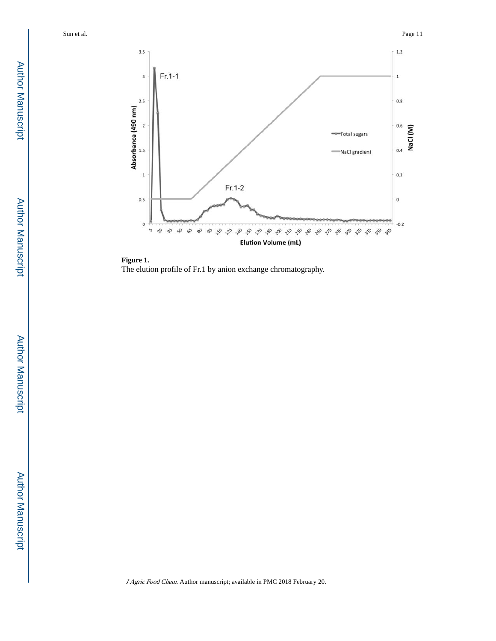

**Figure 1.**  The elution profile of Fr.1 by anion exchange chromatography.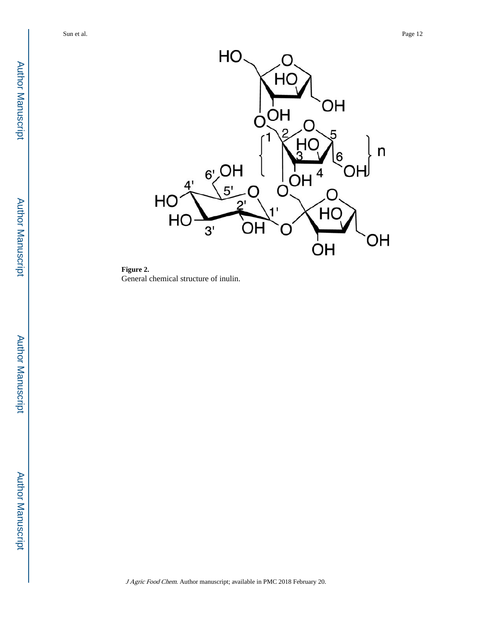

**Figure 2.**  General chemical structure of inulin.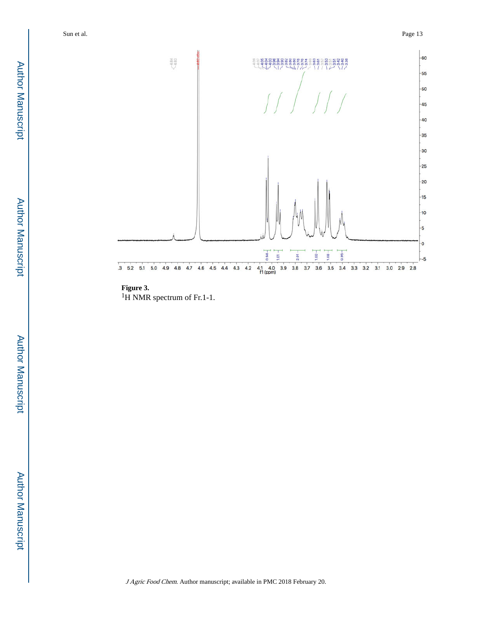

# **Figure 3.**

<sup>1</sup>H NMR spectrum of Fr.1-1.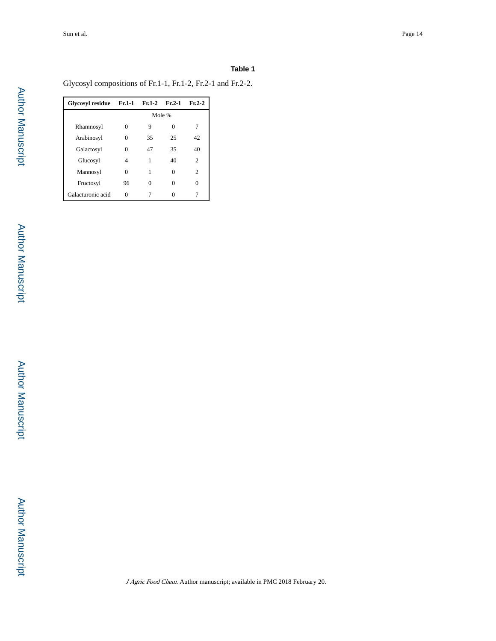#### **Table 1**

Glycosyl compositions of Fr.1-1, Fr.1-2, Fr.2-1 and Fr.2-2.

| Glycosyl residue Fr.1-1 |        | $Fr.1-2$ | $Fr.2-1$ | $Fr.2-2$ |  |  |
|-------------------------|--------|----------|----------|----------|--|--|
|                         | Mole % |          |          |          |  |  |
| Rhamnosyl               | 0      | 9        |          |          |  |  |
| Arabinosyl              |        | 35       | 25       | 42       |  |  |
| Galactosyl              |        | 47       | 35       | 40       |  |  |
| Glucosyl                | 4      | 1        | 40       | 2        |  |  |
| Mannosyl                | 0      | 1        | 0        | 2        |  |  |
| Fructosyl               | 96     | 0        | 0        | 0        |  |  |
| Galacturonic acid       |        |          |          |          |  |  |